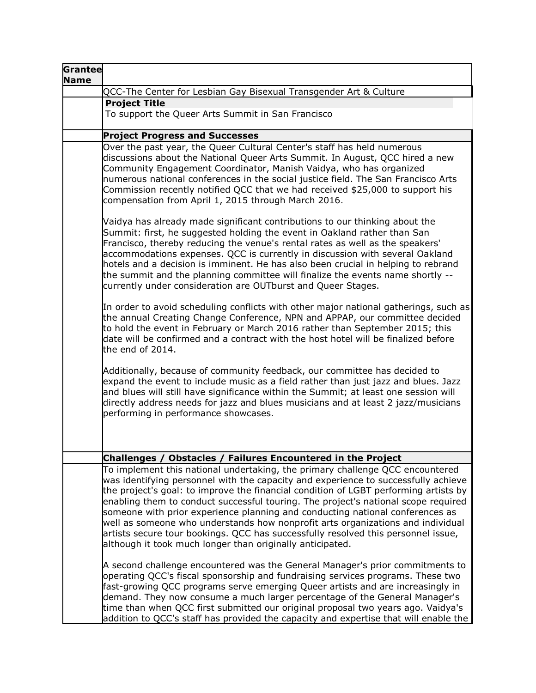| Grantee<br><b>Name</b> |                                                                                                                                                                                                                                                                                                                                                                                                                                                                                                                                                                                                                                                                         |
|------------------------|-------------------------------------------------------------------------------------------------------------------------------------------------------------------------------------------------------------------------------------------------------------------------------------------------------------------------------------------------------------------------------------------------------------------------------------------------------------------------------------------------------------------------------------------------------------------------------------------------------------------------------------------------------------------------|
|                        | QCC-The Center for Lesbian Gay Bisexual Transgender Art & Culture                                                                                                                                                                                                                                                                                                                                                                                                                                                                                                                                                                                                       |
|                        | <b>Project Title</b>                                                                                                                                                                                                                                                                                                                                                                                                                                                                                                                                                                                                                                                    |
|                        | To support the Queer Arts Summit in San Francisco                                                                                                                                                                                                                                                                                                                                                                                                                                                                                                                                                                                                                       |
|                        | <b>Project Progress and Successes</b>                                                                                                                                                                                                                                                                                                                                                                                                                                                                                                                                                                                                                                   |
|                        | Over the past year, the Queer Cultural Center's staff has held numerous<br>discussions about the National Queer Arts Summit. In August, QCC hired a new<br>Community Engagement Coordinator, Manish Vaidya, who has organized<br>numerous national conferences in the social justice field. The San Francisco Arts<br>Commission recently notified QCC that we had received \$25,000 to support his<br>compensation from April 1, 2015 through March 2016.                                                                                                                                                                                                              |
|                        | Vaidya has already made significant contributions to our thinking about the<br>Summit: first, he suggested holding the event in Oakland rather than San<br>Francisco, thereby reducing the venue's rental rates as well as the speakers'<br>accommodations expenses. QCC is currently in discussion with several Oakland<br>hotels and a decision is imminent. He has also been crucial in helping to rebrand<br>the summit and the planning committee will finalize the events name shortly --<br>currently under consideration are OUTburst and Queer Stages.                                                                                                         |
|                        | In order to avoid scheduling conflicts with other major national gatherings, such as<br>the annual Creating Change Conference, NPN and APPAP, our committee decided<br>to hold the event in February or March 2016 rather than September 2015; this<br>date will be confirmed and a contract with the host hotel will be finalized before<br>the end of 2014.                                                                                                                                                                                                                                                                                                           |
|                        | Additionally, because of community feedback, our committee has decided to<br>expand the event to include music as a field rather than just jazz and blues. Jazz<br>and blues will still have significance within the Summit; at least one session will<br>directly address needs for jazz and blues musicians and at least 2 jazz/musicians<br>performing in performance showcases.                                                                                                                                                                                                                                                                                     |
|                        | Challenges / Obstacles / Failures Encountered in the Project                                                                                                                                                                                                                                                                                                                                                                                                                                                                                                                                                                                                            |
|                        | To implement this national undertaking, the primary challenge QCC encountered<br>was identifying personnel with the capacity and experience to successfully achieve<br>the project's goal: to improve the financial condition of LGBT performing artists by<br>enabling them to conduct successful touring. The project's national scope required<br>someone with prior experience planning and conducting national conferences as<br>well as someone who understands how nonprofit arts organizations and individual<br>artists secure tour bookings. QCC has successfully resolved this personnel issue,<br>although it took much longer than originally anticipated. |
|                        | A second challenge encountered was the General Manager's prior commitments to<br>operating QCC's fiscal sponsorship and fundraising services programs. These two<br>fast-growing QCC programs serve emerging Queer artists and are increasingly in<br>demand. They now consume a much larger percentage of the General Manager's<br>time than when QCC first submitted our original proposal two years ago. Vaidya's<br>addition to QCC's staff has provided the capacity and expertise that will enable the                                                                                                                                                            |